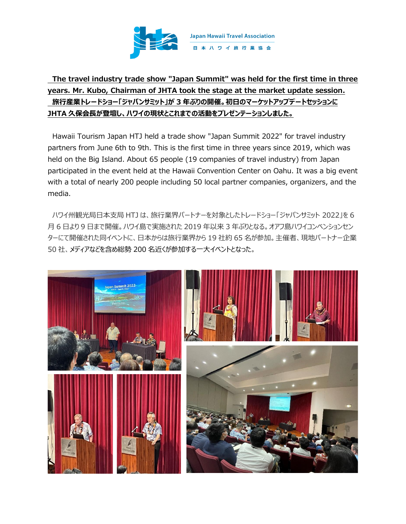

## **The travel industry trade show "Japan Summit" was held for the first time in three years. Mr. Kubo, Chairman of JHTA took the stage at the market update session. 旅行産業トレードショー「ジャパンサミット」が 3 年ぶりの開催。初日のマーケットアップデートセッションに JHTA 久保会長が登壇し、ハワイの現状とこれまでの活動をプレゼンテーションしました。**

Hawaii Tourism Japan HTJ held a trade show "Japan Summit 2022" for travel industry partners from June 6th to 9th. This is the first time in three years since 2019, which was held on the Big Island. About 65 people (19 companies of travel industry) from Japan participated in the event held at the Hawaii Convention Center on Oahu. It was a big event with a total of nearly 200 people including 50 local partner companies, organizers, and the media.

ハワイ州観光局日本支局 HTJ は、旅行業界パートナーを対象としたトレードショー「ジャパンサミット 2022」を 6 月 6 日より 9 日まで開催。ハワイ島で実施された 2019 年以来 3 年ぶりとなる。オアフ島ハワイコンベンションセン ターにて開催された同イベントに、日本からは旅行業界から 19 社約 65 名が参加。主催者、現地パートナー企業 50 社、メディアなどを含め総勢 200 名近くが参加する一大イベントとなった。